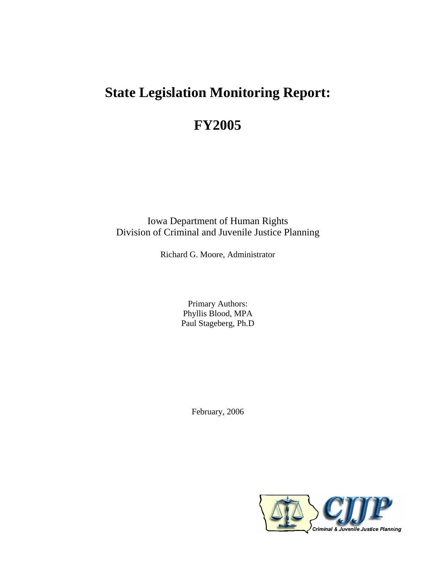# **State Legislation Monitoring Report:**

# **FY2005**

Iowa Department of Human Rights Division of Criminal and Juvenile Justice Planning

Richard G. Moore, Administrator

Primary Authors: Phyllis Blood, MPA Paul Stageberg, Ph.D

February, 2006

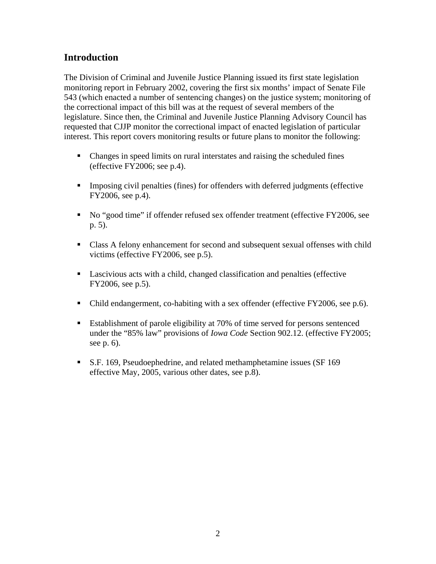# **Introduction**

The Division of Criminal and Juvenile Justice Planning issued its first state legislation monitoring report in February 2002, covering the first six months' impact of Senate File 543 (which enacted a number of sentencing changes) on the justice system; monitoring of the correctional impact of this bill was at the request of several members of the legislature. Since then, the Criminal and Juvenile Justice Planning Advisory Council has requested that CJJP monitor the correctional impact of enacted legislation of particular interest. This report covers monitoring results or future plans to monitor the following:

- Changes in speed limits on rural interstates and raising the scheduled fines (effective FY2006; see p.4).
- Imposing civil penalties (fines) for offenders with deferred judgments (effective FY2006, see p.4).
- No "good time" if offender refused sex offender treatment (effective FY2006, see p. 5).
- Class A felony enhancement for second and subsequent sexual offenses with child victims (effective FY2006, see p.5).
- Lascivious acts with a child, changed classification and penalties (effective FY2006, see p.5).
- Child endangerment, co-habiting with a sex offender (effective FY2006, see p.6).
- Establishment of parole eligibility at 70% of time served for persons sentenced under the "85% law" provisions of *Iowa Code* Section 902.12. (effective FY2005; see p. 6).
- S.F. 169, Pseudoephedrine, and related methamphetamine issues (SF 169 effective May, 2005, various other dates, see p.8).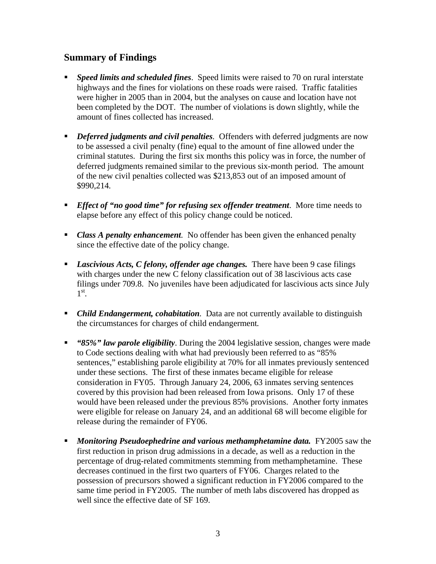### **Summary of Findings**

- *Speed limits and scheduled fines*. Speed limits were raised to 70 on rural interstate highways and the fines for violations on these roads were raised. Traffic fatalities were higher in 2005 than in 2004, but the analyses on cause and location have not been completed by the DOT. The number of violations is down slightly, while the amount of fines collected has increased.
- *Deferred judgments and civil penalties.* Offenders with deferred judgments are now to be assessed a civil penalty (fine) equal to the amount of fine allowed under the criminal statutes. During the first six months this policy was in force, the number of deferred judgments remained similar to the previous six-month period. The amount of the new civil penalties collected was \$213,853 out of an imposed amount of \$990,214*.*
- *Effect of "no good time" for refusing sex offender treatment*. More time needs to elapse before any effect of this policy change could be noticed.
- **Class A penalty enhancement**. No offender has been given the enhanced penalty since the effective date of the policy change.
- *Lascivious Acts, C felony, offender age changes.* There have been 9 case filings with charges under the new C felony classification out of 38 lascivious acts case filings under 709.8. No juveniles have been adjudicated for lascivious acts since July 1st *.*
- *Child Endangerment, cohabitation*. Data are not currently available to distinguish the circumstances for charges of child endangerment*.*
- *"85%" law parole eligibility*. During the 2004 legislative session, changes were made to Code sections dealing with what had previously been referred to as "85% sentences," establishing parole eligibility at 70% for all inmates previously sentenced under these sections. The first of these inmates became eligible for release consideration in FY05. Through January 24, 2006, 63 inmates serving sentences covered by this provision had been released from Iowa prisons. Only 17 of these would have been released under the previous 85% provisions. Another forty inmates were eligible for release on January 24, and an additional 68 will become eligible for release during the remainder of FY06.
- *Monitoring Pseudoephedrine and various methamphetamine data.* FY2005 saw the first reduction in prison drug admissions in a decade, as well as a reduction in the percentage of drug-related commitments stemming from methamphetamine. These decreases continued in the first two quarters of FY06. Charges related to the possession of precursors showed a significant reduction in FY2006 compared to the same time period in FY2005. The number of meth labs discovered has dropped as well since the effective date of SF 169.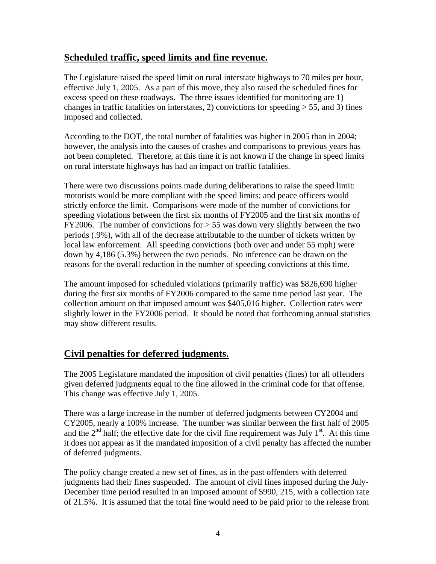### **Scheduled traffic, speed limits and fine revenue.**

The Legislature raised the speed limit on rural interstate highways to 70 miles per hour, effective July 1, 2005. As a part of this move, they also raised the scheduled fines for excess speed on these roadways. The three issues identified for monitoring are 1) changes in traffic fatalities on interstates, 2) convictions for speeding  $> 55$ , and 3) fines imposed and collected.

According to the DOT, the total number of fatalities was higher in 2005 than in 2004; however, the analysis into the causes of crashes and comparisons to previous years has not been completed. Therefore, at this time it is not known if the change in speed limits on rural interstate highways has had an impact on traffic fatalities.

There were two discussions points made during deliberations to raise the speed limit: motorists would be more compliant with the speed limits; and peace officers would strictly enforce the limit. Comparisons were made of the number of convictions for speeding violations between the first six months of FY2005 and the first six months of FY2006. The number of convictions for  $> 55$  was down very slightly between the two periods (.9%), with all of the decrease attributable to the number of tickets written by local law enforcement. All speeding convictions (both over and under 55 mph) were down by 4,186 (5.3%) between the two periods. No inference can be drawn on the reasons for the overall reduction in the number of speeding convictions at this time.

The amount imposed for scheduled violations (primarily traffic) was \$826,690 higher during the first six months of FY2006 compared to the same time period last year. The collection amount on that imposed amount was \$405,016 higher. Collection rates were slightly lower in the FY2006 period. It should be noted that forthcoming annual statistics may show different results.

### **Civil penalties for deferred judgments.**

The 2005 Legislature mandated the imposition of civil penalties (fines) for all offenders given deferred judgments equal to the fine allowed in the criminal code for that offense. This change was effective July 1, 2005.

There was a large increase in the number of deferred judgments between CY2004 and CY2005, nearly a 100% increase. The number was similar between the first half of 2005 and the  $2<sup>nd</sup>$  half; the effective date for the civil fine requirement was July 1<sup>st</sup>. At this time it does not appear as if the mandated imposition of a civil penalty has affected the number of deferred judgments.

The policy change created a new set of fines, as in the past offenders with deferred judgments had their fines suspended. The amount of civil fines imposed during the July-December time period resulted in an imposed amount of \$990, 215, with a collection rate of 21.5%. It is assumed that the total fine would need to be paid prior to the release from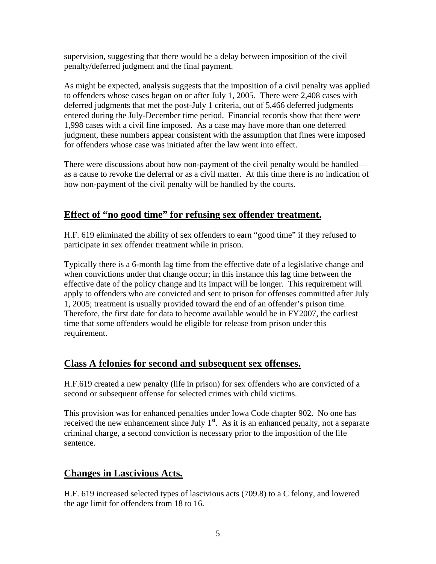supervision, suggesting that there would be a delay between imposition of the civil penalty/deferred judgment and the final payment.

As might be expected, analysis suggests that the imposition of a civil penalty was applied to offenders whose cases began on or after July 1, 2005. There were 2,408 cases with deferred judgments that met the post-July 1 criteria, out of 5,466 deferred judgments entered during the July-December time period. Financial records show that there were 1,998 cases with a civil fine imposed. As a case may have more than one deferred judgment, these numbers appear consistent with the assumption that fines were imposed for offenders whose case was initiated after the law went into effect.

There were discussions about how non-payment of the civil penalty would be handled as a cause to revoke the deferral or as a civil matter. At this time there is no indication of how non-payment of the civil penalty will be handled by the courts.

# **Effect of "no good time" for refusing sex offender treatment.**

H.F. 619 eliminated the ability of sex offenders to earn "good time" if they refused to participate in sex offender treatment while in prison.

Typically there is a 6-month lag time from the effective date of a legislative change and when convictions under that change occur; in this instance this lag time between the effective date of the policy change and its impact will be longer. This requirement will apply to offenders who are convicted and sent to prison for offenses committed after July 1, 2005; treatment is usually provided toward the end of an offender's prison time. Therefore, the first date for data to become available would be in FY2007, the earliest time that some offenders would be eligible for release from prison under this requirement.

### **Class A felonies for second and subsequent sex offenses.**

H.F.619 created a new penalty (life in prison) for sex offenders who are convicted of a second or subsequent offense for selected crimes with child victims.

This provision was for enhanced penalties under Iowa Code chapter 902. No one has received the new enhancement since July  $1<sup>st</sup>$ . As it is an enhanced penalty, not a separate criminal charge, a second conviction is necessary prior to the imposition of the life sentence.

# **Changes in Lascivious Acts.**

H.F. 619 increased selected types of lascivious acts (709.8) to a C felony, and lowered the age limit for offenders from 18 to 16.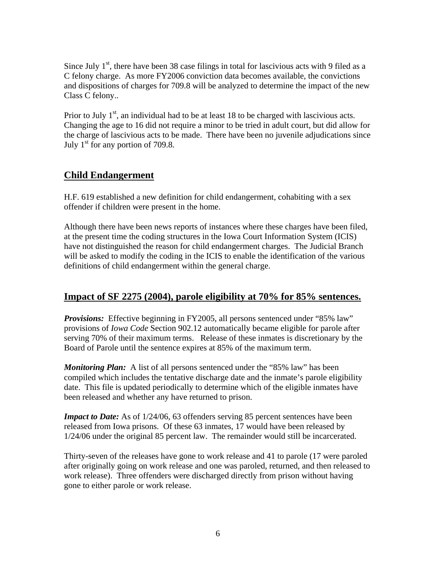Since July  $1<sup>st</sup>$ , there have been 38 case filings in total for lascivious acts with 9 filed as a C felony charge. As more FY2006 conviction data becomes available, the convictions and dispositions of charges for 709.8 will be analyzed to determine the impact of the new Class C felony..

Prior to July  $1<sup>st</sup>$ , an individual had to be at least 18 to be charged with lascivious acts. Changing the age to 16 did not require a minor to be tried in adult court, but did allow for the charge of lascivious acts to be made. There have been no juvenile adjudications since July  $1<sup>st</sup>$  for any portion of 709.8.

# **Child Endangerment**

H.F. 619 established a new definition for child endangerment, cohabiting with a sex offender if children were present in the home.

Although there have been news reports of instances where these charges have been filed, at the present time the coding structures in the Iowa Court Information System (ICIS) have not distinguished the reason for child endangerment charges. The Judicial Branch will be asked to modify the coding in the ICIS to enable the identification of the various definitions of child endangerment within the general charge.

### **Impact of SF 2275 (2004), parole eligibility at 70% for 85% sentences.**

*Provisions:* Effective beginning in FY2005, all persons sentenced under "85% law" provisions of *Iowa Code* Section 902.12 automatically became eligible for parole after serving 70% of their maximum terms. Release of these inmates is discretionary by the Board of Parole until the sentence expires at 85% of the maximum term.

*Monitoring Plan:* A list of all persons sentenced under the "85% law" has been compiled which includes the tentative discharge date and the inmate's parole eligibility date. This file is updated periodically to determine which of the eligible inmates have been released and whether any have returned to prison.

*Impact to Date:* As of  $1/24/06$ , 63 offenders serving 85 percent sentences have been released from Iowa prisons. Of these 63 inmates, 17 would have been released by 1/24/06 under the original 85 percent law. The remainder would still be incarcerated.

Thirty-seven of the releases have gone to work release and 41 to parole (17 were paroled after originally going on work release and one was paroled, returned, and then released to work release). Three offenders were discharged directly from prison without having gone to either parole or work release.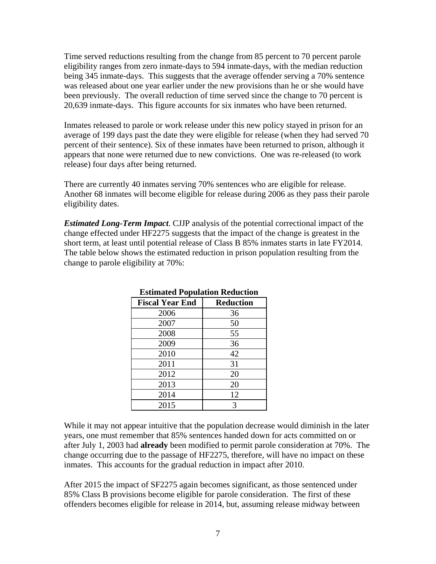Time served reductions resulting from the change from 85 percent to 70 percent parole eligibility ranges from zero inmate-days to 594 inmate-days, with the median reduction being 345 inmate-days. This suggests that the average offender serving a 70% sentence was released about one year earlier under the new provisions than he or she would have been previously. The overall reduction of time served since the change to 70 percent is 20,639 inmate-days. This figure accounts for six inmates who have been returned.

Inmates released to parole or work release under this new policy stayed in prison for an average of 199 days past the date they were eligible for release (when they had served 70 percent of their sentence). Six of these inmates have been returned to prison, although it appears that none were returned due to new convictions. One was re-released (to work release) four days after being returned.

There are currently 40 inmates serving 70% sentences who are eligible for release. Another 68 inmates will become eligible for release during 2006 as they pass their parole eligibility dates.

*Estimated Long-Term Impact*. CJJP analysis of the potential correctional impact of the change effected under HF2275 suggests that the impact of the change is greatest in the short term, at least until potential release of Class B 85% inmates starts in late FY2014. The table below shows the estimated reduction in prison population resulting from the change to parole eligibility at 70%:

| езинака і ораганон іхсаасноп |                  |  |  |  |  |  |  |
|------------------------------|------------------|--|--|--|--|--|--|
| <b>Fiscal Year End</b>       | <b>Reduction</b> |  |  |  |  |  |  |
| 2006                         | 36               |  |  |  |  |  |  |
| 2007                         | 50               |  |  |  |  |  |  |
| 2008                         | 55               |  |  |  |  |  |  |
| 2009                         | 36               |  |  |  |  |  |  |
| 2010                         | 42               |  |  |  |  |  |  |
| 2011                         | 31               |  |  |  |  |  |  |
| 2012                         | 20               |  |  |  |  |  |  |
| 2013                         | 20               |  |  |  |  |  |  |
| 2014                         | 12               |  |  |  |  |  |  |
| 2015                         | 3                |  |  |  |  |  |  |

#### **Estimated Population Reduction**

While it may not appear intuitive that the population decrease would diminish in the later years, one must remember that 85% sentences handed down for acts committed on or after July 1, 2003 had **already** been modified to permit parole consideration at 70%. The change occurring due to the passage of HF2275, therefore, will have no impact on these inmates. This accounts for the gradual reduction in impact after 2010.

After 2015 the impact of SF2275 again becomes significant, as those sentenced under 85% Class B provisions become eligible for parole consideration. The first of these offenders becomes eligible for release in 2014, but, assuming release midway between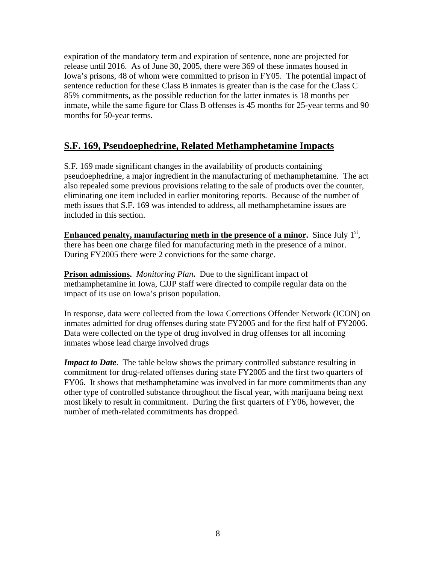expiration of the mandatory term and expiration of sentence, none are projected for release until 2016. As of June 30, 2005, there were 369 of these inmates housed in Iowa's prisons, 48 of whom were committed to prison in FY05. The potential impact of sentence reduction for these Class B inmates is greater than is the case for the Class C 85% commitments, as the possible reduction for the latter inmates is 18 months per inmate, while the same figure for Class B offenses is 45 months for 25-year terms and 90 months for 50-year terms.

# **S.F. 169, Pseudoephedrine, Related Methamphetamine Impacts**

S.F. 169 made significant changes in the availability of products containing pseudoephedrine, a major ingredient in the manufacturing of methamphetamine. The act also repealed some previous provisions relating to the sale of products over the counter, eliminating one item included in earlier monitoring reports. Because of the number of meth issues that S.F. 169 was intended to address, all methamphetamine issues are included in this section.

**Enhanced penalty, manufacturing meth in the presence of a minor.** Since July 1<sup>st</sup>, there has been one charge filed for manufacturing meth in the presence of a minor. During FY2005 there were 2 convictions for the same charge.

**Prison admissions.** *Monitoring Plan***.** Due to the significant impact of methamphetamine in Iowa, CJJP staff were directed to compile regular data on the impact of its use on Iowa's prison population.

In response, data were collected from the Iowa Corrections Offender Network (ICON) on inmates admitted for drug offenses during state FY2005 and for the first half of FY2006. Data were collected on the type of drug involved in drug offenses for all incoming inmates whose lead charge involved drugs

*Impact to Date*. The table below shows the primary controlled substance resulting in commitment for drug-related offenses during state FY2005 and the first two quarters of FY06. It shows that methamphetamine was involved in far more commitments than any other type of controlled substance throughout the fiscal year, with marijuana being next most likely to result in commitment. During the first quarters of FY06, however, the number of meth-related commitments has dropped.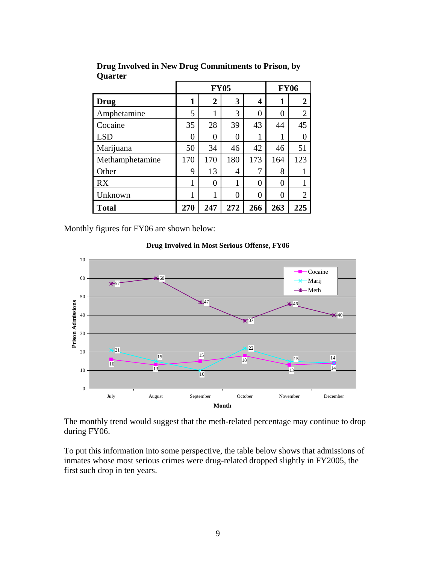|                 |                | <b>FY05</b>    | <b>FY06</b>    |                |                |                  |
|-----------------|----------------|----------------|----------------|----------------|----------------|------------------|
| <b>Drug</b>     | 1              | 2              | 3              | 4              | 1              | $\boldsymbol{2}$ |
| Amphetamine     | 5              | 1              | 3              | $\theta$       | 0              | $\overline{2}$   |
| Cocaine         | 35             | 28             | 39             | 43             | 44             | 45               |
| <b>LSD</b>      | $\overline{0}$ | $\overline{0}$ | $\overline{0}$ | 1              | 1              | $\overline{0}$   |
| Marijuana       | 50             | 34             | 46             | 42             | 46             | 51               |
| Methamphetamine | 170            | 170            | 180            | 173            | 164            | 123              |
| Other           | 9              | 13             | 4              | 7              | 8              |                  |
| <b>RX</b>       | $\mathbf{1}$   | $\overline{0}$ | 1              | $\overline{0}$ | 0              | 1                |
| Unknown         | 1              | 1              | $\theta$       | $\theta$       | $\overline{0}$ | $\overline{2}$   |
| <b>Total</b>    | 270            | 247            | 272            | 266            | 263            | 225              |

**Drug Involved in New Drug Commitments to Prison, by Quarter** 

Monthly figures for FY06 are shown below:

**Drug Involved in Most Serious Offense, FY06**



The monthly trend would suggest that the meth-related percentage may continue to drop during FY06.

To put this information into some perspective, the table below shows that admissions of inmates whose most serious crimes were drug-related dropped slightly in FY2005, the first such drop in ten years.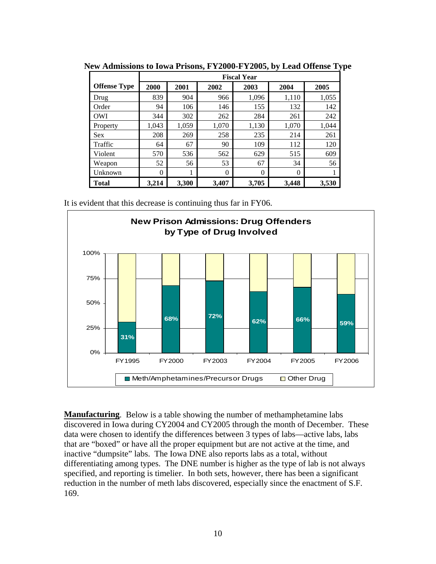|                     | <b>Fiscal Year</b> |       |          |          |          |       |  |  |
|---------------------|--------------------|-------|----------|----------|----------|-------|--|--|
| <b>Offense Type</b> | 2000               | 2001  | 2002     | 2003     | 2004     | 2005  |  |  |
| Drug                | 839                | 904   | 966      | 1,096    | 1,110    | 1,055 |  |  |
| Order               | 94                 | 106   | 146      | 155      | 132      | 142   |  |  |
| <b>OWI</b>          | 344                | 302   | 262      | 284      | 261      | 242   |  |  |
| Property            | 1.043              | 1,059 | 1,070    | 1,130    | 1,070    | 1.044 |  |  |
| <b>Sex</b>          | 208                | 269   | 258      | 235      | 214      | 261   |  |  |
| Traffic             | 64                 | 67    | 90       | 109      | 112      | 120   |  |  |
| Violent             | 570                | 536   | 562      | 629      | 515      | 609   |  |  |
| Weapon              | 52                 | 56    | 53       | 67       | 34       | 56    |  |  |
| Unknown             | $\Omega$           | 1     | $\Omega$ | $\Omega$ | $\Omega$ | 1     |  |  |
| <b>Total</b>        | 3,214              | 3,300 | 3,407    | 3,705    | 3,448    | 3,530 |  |  |

**New Admissions to Iowa Prisons, FY2000-FY2005, by Lead Offense Type** 

It is evident that this decrease is continuing thus far in FY06.



**Manufacturing**. Below is a table showing the number of methamphetamine labs discovered in Iowa during CY2004 and CY2005 through the month of December. These data were chosen to identify the differences between 3 types of labs—active labs, labs that are "boxed" or have all the proper equipment but are not active at the time, and inactive "dumpsite" labs. The Iowa DNE also reports labs as a total, without differentiating among types. The DNE number is higher as the type of lab is not always specified, and reporting is timelier. In both sets, however, there has been a significant reduction in the number of meth labs discovered, especially since the enactment of S.F. 169.